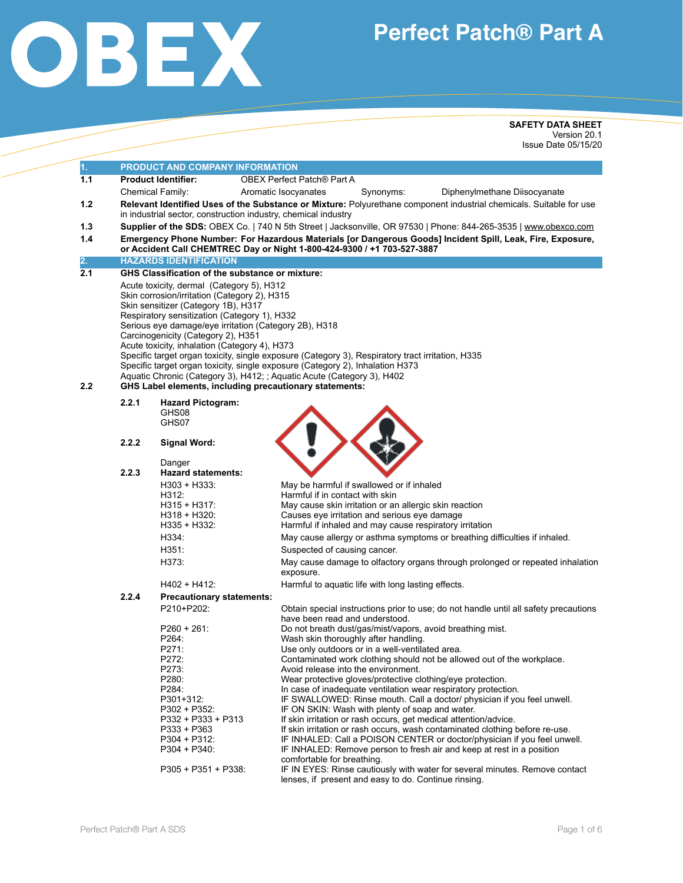

# **Perfect Patch® Part A**

**SAFETY DATA SHEET**  Version 20.1 Issue Date 05/15/20

| 1.  |                                                                                                                                                                                       | PRODUCT AND COMPANY INFORMATION                                                                                                                                                                                                                                                                                                                                                             |                                                                                                                                                                                                                                                             |  |  |  |  |
|-----|---------------------------------------------------------------------------------------------------------------------------------------------------------------------------------------|---------------------------------------------------------------------------------------------------------------------------------------------------------------------------------------------------------------------------------------------------------------------------------------------------------------------------------------------------------------------------------------------|-------------------------------------------------------------------------------------------------------------------------------------------------------------------------------------------------------------------------------------------------------------|--|--|--|--|
| 1.1 | <b>OBEX Perfect Patch® Part A</b><br><b>Product Identifier:</b>                                                                                                                       |                                                                                                                                                                                                                                                                                                                                                                                             |                                                                                                                                                                                                                                                             |  |  |  |  |
|     | Chemical Family:<br>Aromatic Isocyanates<br>Synonyms:<br>Diphenylmethane Diisocyanate                                                                                                 |                                                                                                                                                                                                                                                                                                                                                                                             |                                                                                                                                                                                                                                                             |  |  |  |  |
| 1.2 | Relevant Identified Uses of the Substance or Mixture: Polyurethane component industrial chemicals. Suitable for use<br>in industrial sector, construction industry, chemical industry |                                                                                                                                                                                                                                                                                                                                                                                             |                                                                                                                                                                                                                                                             |  |  |  |  |
| 1.3 |                                                                                                                                                                                       | Supplier of the SDS: OBEX Co.   740 N 5th Street   Jacksonville, OR 97530   Phone: 844-265-3535   www.obexco.com                                                                                                                                                                                                                                                                            |                                                                                                                                                                                                                                                             |  |  |  |  |
| 1.4 |                                                                                                                                                                                       | Emergency Phone Number: For Hazardous Materials [or Dangerous Goods] Incident Spill, Leak, Fire, Exposure,<br>or Accident Call CHEMTREC Day or Night 1-800-424-9300 / +1 703-527-3887                                                                                                                                                                                                       |                                                                                                                                                                                                                                                             |  |  |  |  |
| 2.  |                                                                                                                                                                                       | <b>HAZARDS IDENTIFICATION</b>                                                                                                                                                                                                                                                                                                                                                               |                                                                                                                                                                                                                                                             |  |  |  |  |
| 2.1 | <b>GHS Classification of the substance or mixture:</b>                                                                                                                                |                                                                                                                                                                                                                                                                                                                                                                                             |                                                                                                                                                                                                                                                             |  |  |  |  |
| 2.2 |                                                                                                                                                                                       | Acute toxicity, dermal (Category 5), H312<br>Skin corrosion/irritation (Category 2), H315<br>Skin sensitizer (Category 1B), H317<br>Respiratory sensitization (Category 1), H332<br>Serious eye damage/eye irritation (Category 2B), H318<br>Carcinogenicity (Category 2), H351<br>Acute toxicity, inhalation (Category 4), H373<br>GHS Label elements, including precautionary statements: | Specific target organ toxicity, single exposure (Category 3), Respiratory tract irritation, H335<br>Specific target organ toxicity, single exposure (Category 2), Inhalation H373<br>Aquatic Chronic (Category 3), H412; ; Aquatic Acute (Category 3), H402 |  |  |  |  |
|     | 2.2.1                                                                                                                                                                                 | <b>Hazard Pictogram:</b><br>GHS08<br>GHS07                                                                                                                                                                                                                                                                                                                                                  |                                                                                                                                                                                                                                                             |  |  |  |  |
|     | 2.2.2                                                                                                                                                                                 | <b>Signal Word:</b>                                                                                                                                                                                                                                                                                                                                                                         |                                                                                                                                                                                                                                                             |  |  |  |  |
|     |                                                                                                                                                                                       | Danger                                                                                                                                                                                                                                                                                                                                                                                      |                                                                                                                                                                                                                                                             |  |  |  |  |
|     | 2.2.3                                                                                                                                                                                 | <b>Hazard statements:</b>                                                                                                                                                                                                                                                                                                                                                                   |                                                                                                                                                                                                                                                             |  |  |  |  |
|     |                                                                                                                                                                                       | $H303 + H333$ :<br>H312:                                                                                                                                                                                                                                                                                                                                                                    | May be harmful if swallowed or if inhaled<br>Harmful if in contact with skin                                                                                                                                                                                |  |  |  |  |
|     |                                                                                                                                                                                       | H315 + H317:                                                                                                                                                                                                                                                                                                                                                                                | May cause skin irritation or an allergic skin reaction                                                                                                                                                                                                      |  |  |  |  |
|     |                                                                                                                                                                                       | $H318 + H320:$                                                                                                                                                                                                                                                                                                                                                                              | Causes eye irritation and serious eye damage                                                                                                                                                                                                                |  |  |  |  |
|     |                                                                                                                                                                                       | $H335 + H332$                                                                                                                                                                                                                                                                                                                                                                               | Harmful if inhaled and may cause respiratory irritation                                                                                                                                                                                                     |  |  |  |  |
|     |                                                                                                                                                                                       | H334:                                                                                                                                                                                                                                                                                                                                                                                       | May cause allergy or asthma symptoms or breathing difficulties if inhaled.                                                                                                                                                                                  |  |  |  |  |
|     |                                                                                                                                                                                       | H351:                                                                                                                                                                                                                                                                                                                                                                                       | Suspected of causing cancer.                                                                                                                                                                                                                                |  |  |  |  |
|     |                                                                                                                                                                                       | H373:                                                                                                                                                                                                                                                                                                                                                                                       | May cause damage to olfactory organs through prolonged or repeated inhalation<br>exposure.                                                                                                                                                                  |  |  |  |  |
|     |                                                                                                                                                                                       | $H402 + H412$ :                                                                                                                                                                                                                                                                                                                                                                             | Harmful to aquatic life with long lasting effects.                                                                                                                                                                                                          |  |  |  |  |
|     | 2.2.4                                                                                                                                                                                 | <b>Precautionary statements:</b>                                                                                                                                                                                                                                                                                                                                                            |                                                                                                                                                                                                                                                             |  |  |  |  |
|     |                                                                                                                                                                                       | P210+P202:<br>$P260 + 261$                                                                                                                                                                                                                                                                                                                                                                  | Obtain special instructions prior to use; do not handle until all safety precautions<br>have been read and understood.<br>Do not breath dust/gas/mist/vapors, avoid breathing mist.                                                                         |  |  |  |  |
|     |                                                                                                                                                                                       | P264:                                                                                                                                                                                                                                                                                                                                                                                       | Wash skin thoroughly after handling.                                                                                                                                                                                                                        |  |  |  |  |
|     |                                                                                                                                                                                       | P271:                                                                                                                                                                                                                                                                                                                                                                                       | Use only outdoors or in a well-ventilated area.                                                                                                                                                                                                             |  |  |  |  |
|     |                                                                                                                                                                                       | P272:                                                                                                                                                                                                                                                                                                                                                                                       | Contaminated work clothing should not be allowed out of the workplace.                                                                                                                                                                                      |  |  |  |  |
|     |                                                                                                                                                                                       | P273:                                                                                                                                                                                                                                                                                                                                                                                       | Avoid release into the environment.                                                                                                                                                                                                                         |  |  |  |  |
|     |                                                                                                                                                                                       | P280:                                                                                                                                                                                                                                                                                                                                                                                       | Wear protective gloves/protective clothing/eye protection.                                                                                                                                                                                                  |  |  |  |  |
|     |                                                                                                                                                                                       | P284:                                                                                                                                                                                                                                                                                                                                                                                       | In case of inadequate ventilation wear respiratory protection.                                                                                                                                                                                              |  |  |  |  |
|     |                                                                                                                                                                                       | P301+312:                                                                                                                                                                                                                                                                                                                                                                                   | IF SWALLOWED: Rinse mouth. Call a doctor/ physician if you feel unwell.                                                                                                                                                                                     |  |  |  |  |
|     |                                                                                                                                                                                       | P302 + P352:<br>P332 + P333 + P313                                                                                                                                                                                                                                                                                                                                                          | IF ON SKIN: Wash with plenty of soap and water.<br>If skin irritation or rash occurs, get medical attention/advice.                                                                                                                                         |  |  |  |  |
|     |                                                                                                                                                                                       | P333 + P363                                                                                                                                                                                                                                                                                                                                                                                 | If skin irritation or rash occurs, wash contaminated clothing before re-use.                                                                                                                                                                                |  |  |  |  |
|     |                                                                                                                                                                                       | P304 + P312:                                                                                                                                                                                                                                                                                                                                                                                | IF INHALED: Call a POISON CENTER or doctor/physician if you feel unwell.                                                                                                                                                                                    |  |  |  |  |
|     |                                                                                                                                                                                       | P304 + P340:                                                                                                                                                                                                                                                                                                                                                                                | IF INHALED: Remove person to fresh air and keep at rest in a position<br>comfortable for breathing.                                                                                                                                                         |  |  |  |  |
|     |                                                                                                                                                                                       | $P305 + P351 + P338$                                                                                                                                                                                                                                                                                                                                                                        | IF IN EYES: Rinse cautiously with water for several minutes. Remove contact<br>lenses, if present and easy to do. Continue rinsing.                                                                                                                         |  |  |  |  |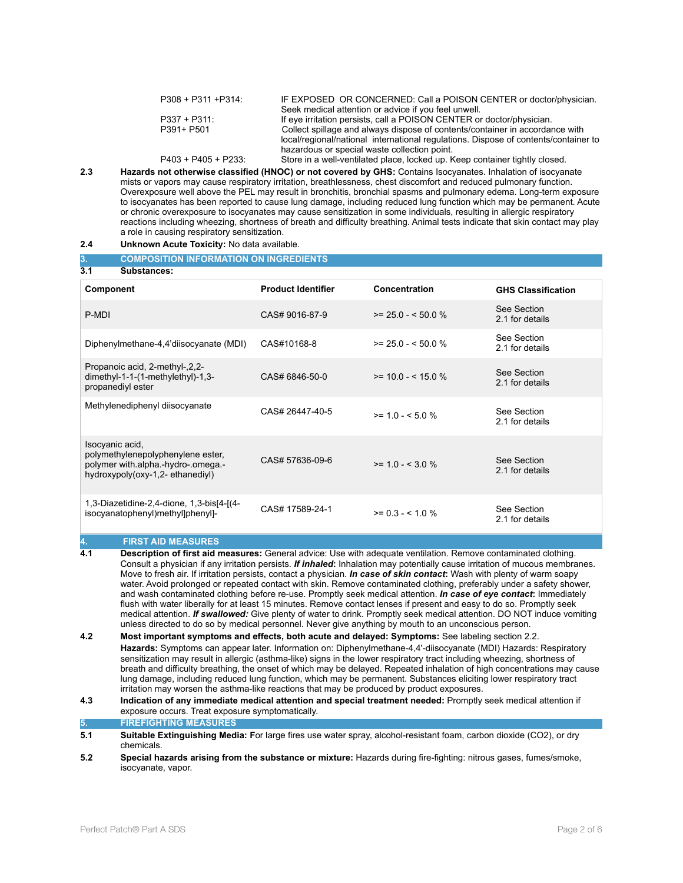| $P308 + P311 + P314$ |                      | IF EXPOSED OR CONCERNED: Call a POISON CENTER or doctor/physician.                  |
|----------------------|----------------------|-------------------------------------------------------------------------------------|
|                      |                      | Seek medical attention or advice if you feel unwell.                                |
| $P337 + P311$        |                      | If eye irritation persists, call a POISON CENTER or doctor/physician.               |
| P391+ P501           |                      | Collect spillage and always dispose of contents/container in accordance with        |
|                      |                      | local/regional/national international regulations. Dispose of contents/container to |
|                      |                      | hazardous or special waste collection point.                                        |
|                      | $P403 + P405 + P233$ | Store in a well-ventilated place, locked up. Keep container tightly closed.         |

**2.3 Hazards not otherwise classified (HNOC) or not covered by GHS:** Contains Isocyanates. Inhalation of isocyanate mists or vapors may cause respiratory irritation, breathlessness, chest discomfort and reduced pulmonary function. Overexposure well above the PEL may result in bronchitis, bronchial spasms and pulmonary edema. Long-term exposure to isocyanates has been reported to cause lung damage, including reduced lung function which may be permanent. Acute or chronic overexposure to isocyanates may cause sensitization in some individuals, resulting in allergic respiratory reactions including wheezing, shortness of breath and difficulty breathing. Animal tests indicate that skin contact may play a role in causing respiratory sensitization.

### **2.4 Unknown Acute Toxicity:** No data available.

| 3.<br><b>COMPOSITION INFORMATION ON INGREDIENTS</b>                                                                           |                           |                    |                                |  |
|-------------------------------------------------------------------------------------------------------------------------------|---------------------------|--------------------|--------------------------------|--|
| 3.1<br>Substances:                                                                                                            |                           |                    |                                |  |
| Component                                                                                                                     | <b>Product Identifier</b> | Concentration      | <b>GHS Classification</b>      |  |
| P-MDI                                                                                                                         | CAS# 9016-87-9            | $>= 25.0 - 50.0 %$ | See Section<br>2.1 for details |  |
| Diphenylmethane-4,4'diisocyanate (MDI)                                                                                        | CAS#10168-8               | $>= 25.0 - 50.0 %$ | See Section<br>2.1 for details |  |
| Propanoic acid, 2-methyl-, 2, 2-<br>dimethyl-1-1-(1-methylethyl)-1,3-<br>propanediyl ester                                    | CAS# 6846-50-0            | $>= 10.0 - 5.0$ %  | See Section<br>2.1 for details |  |
| Methylenediphenyl diisocyanate                                                                                                | CAS# 26447-40-5           | $>= 1.0 - 5.0 %$   | See Section<br>2.1 for details |  |
| Isocyanic acid,<br>polymethylenepolyphenylene ester,<br>polymer with alpha -hydro- omega -<br>hydroxypoly(oxy-1,2-ethanediyl) | CAS# 57636-09-6           | $>= 1.0 - < 3.0 %$ | See Section<br>2.1 for details |  |
| 1,3-Diazetidine-2,4-dione, 1,3-bis[4-[(4-<br>isocyanatophenyl)methyl]phenyl]-                                                 | CAS# 17589-24-1           | $>= 0.3 - 5.10$ %  | See Section<br>2.1 for details |  |

# **4. FIRST AID MEASURES**

- **4.1 Description of first aid measures:** General advice: Use with adequate ventilation. Remove contaminated clothing. Consult a physician if any irritation persists. *If inhaled***:** Inhalation may potentially cause irritation of mucous membranes. Move to fresh air. If irritation persists, contact a physician. *In case of skin contact***:** Wash with plenty of warm soapy water. Avoid prolonged or repeated contact with skin. Remove contaminated clothing, preferably under a safety shower, and wash contaminated clothing before re-use. Promptly seek medical attention. *In case of eye contact***:** Immediately flush with water liberally for at least 15 minutes. Remove contact lenses if present and easy to do so. Promptly seek medical attention. *If swallowed:* Give plenty of water to drink. Promptly seek medical attention. DO NOT induce vomiting unless directed to do so by medical personnel. Never give anything by mouth to an unconscious person.
- **4.2 Most important symptoms and effects, both acute and delayed: Symptoms:** See labeling section 2.2. **Hazards:** Symptoms can appear later. Information on: Diphenylmethane-4,4'-diisocyanate (MDI) Hazards: Respiratory sensitization may result in allergic (asthma-like) signs in the lower respiratory tract including wheezing, shortness of breath and difficulty breathing, the onset of which may be delayed. Repeated inhalation of high concentrations may cause lung damage, including reduced lung function, which may be permanent. Substances eliciting lower respiratory tract irritation may worsen the asthma-like reactions that may be produced by product exposures.
- **4.3 Indication of any immediate medical attention and special treatment needed:** Promptly seek medical attention if exposure occurs. Treat exposure symptomatically.

**5. FIREFIGHTING MEASURES** 

- **5.1 Suitable Extinguishing Media: F**or large fires use water spray, alcohol-resistant foam, carbon dioxide (CO2), or dry chemicals.
- **5.2 Special hazards arising from the substance or mixture:** Hazards during fire-fighting: nitrous gases, fumes/smoke, isocyanate, vapor.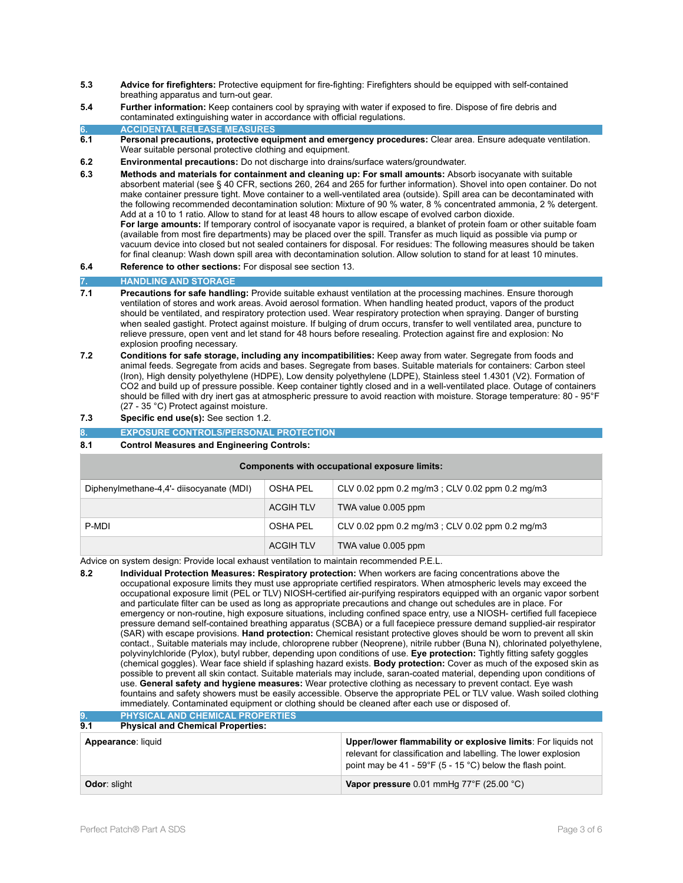- **5.3 Advice for firefighters:** Protective equipment for fire-fighting: Firefighters should be equipped with self-contained breathing apparatus and turn-out gear.
- **5.4 Further information:** Keep containers cool by spraying with water if exposed to fire. Dispose of fire debris and contaminated extinguishing water in accordance with official regulations.
- **6. ACCIDENTAL RELEASE MEASURES**
- **6.1 Personal precautions, protective equipment and emergency procedures:** Clear area. Ensure adequate ventilation. Wear suitable personal protective clothing and equipment.
- **6.2 Environmental precautions:** Do not discharge into drains/surface waters/groundwater.
- **6.3 Methods and materials for containment and cleaning up: For small amounts:** Absorb isocyanate with suitable absorbent material (see § 40 CFR, sections 260, 264 and 265 for further information). Shovel into open container. Do not make container pressure tight. Move container to a well-ventilated area (outside). Spill area can be decontaminated with the following recommended decontamination solution: Mixture of 90 % water, 8 % concentrated ammonia, 2 % detergent. Add at a 10 to 1 ratio. Allow to stand for at least 48 hours to allow escape of evolved carbon dioxide. **For large amounts:** If temporary control of isocyanate vapor is required, a blanket of protein foam or other suitable foam (available from most fire departments) may be placed over the spill. Transfer as much liquid as possible via pump or vacuum device into closed but not sealed containers for disposal. For residues: The following measures should be taken for final cleanup: Wash down spill area with decontamination solution. Allow solution to stand for at least 10 minutes.
- **6.4 Reference to other sections:** For disposal see section 13.

# **7. HANDLING AND STORAGE**

- **7.1 Precautions for safe handling:** Provide suitable exhaust ventilation at the processing machines. Ensure thorough ventilation of stores and work areas. Avoid aerosol formation. When handling heated product, vapors of the product should be ventilated, and respiratory protection used. Wear respiratory protection when spraying. Danger of bursting when sealed gastight. Protect against moisture. If bulging of drum occurs, transfer to well ventilated area, puncture to relieve pressure, open vent and let stand for 48 hours before resealing. Protection against fire and explosion: No explosion proofing necessary.
- **7.2 Conditions for safe storage, including any incompatibilities:** Keep away from water. Segregate from foods and animal feeds. Segregate from acids and bases. Segregate from bases. Suitable materials for containers: Carbon steel (Iron), High density polyethylene (HDPE), Low density polyethylene (LDPE), Stainless steel 1.4301 (V2). Formation of CO2 and build up of pressure possible. Keep container tightly closed and in a well-ventilated place. Outage of containers should be filled with dry inert gas at atmospheric pressure to avoid reaction with moisture. Storage temperature: 80 - 95°F (27 - 35 °C) Protect against moisture.
- **7.3 Specific end use(s):** See section 1.2.
- **8. EXPOSURE CONTROLS/PERSONAL PROTECTION**
- **8.1 Control Measures and Engineering Controls:**

### **Components with occupational exposure limits:**

| Diphenylmethane-4,4'- diisocyanate (MDI) | <b>OSHA PEL</b>  | CLV 0.02 ppm 0.2 mg/m3 ; CLV 0.02 ppm 0.2 mg/m3 |
|------------------------------------------|------------------|-------------------------------------------------|
|                                          | <b>ACGIH TLV</b> | TWA value 0.005 ppm                             |
| P-MDI                                    | OSHA PEL         | CLV 0.02 ppm 0.2 mg/m3 ; CLV 0.02 ppm 0.2 mg/m3 |
|                                          | <b>ACGIH TLV</b> | TWA value 0.005 ppm                             |

Advice on system design: Provide local exhaust ventilation to maintain recommended P.E.L.

**8.2 Individual Protection Measures: Respiratory protection:** When workers are facing concentrations above the occupational exposure limits they must use appropriate certified respirators. When atmospheric levels may exceed the occupational exposure limit (PEL or TLV) NIOSH-certified air-purifying respirators equipped with an organic vapor sorbent and particulate filter can be used as long as appropriate precautions and change out schedules are in place. For emergency or non-routine, high exposure situations, including confined space entry, use a NIOSH- certified full facepiece pressure demand self-contained breathing apparatus (SCBA) or a full facepiece pressure demand supplied-air respirator (SAR) with escape provisions. **Hand protection:** Chemical resistant protective gloves should be worn to prevent all skin contact., Suitable materials may include, chloroprene rubber (Neoprene), nitrile rubber (Buna N), chlorinated polyethylene, polyvinylchloride (Pylox), butyl rubber, depending upon conditions of use. **Eye protection:** Tightly fitting safety goggles (chemical goggles). Wear face shield if splashing hazard exists. **Body protection:** Cover as much of the exposed skin as possible to prevent all skin contact. Suitable materials may include, saran-coated material, depending upon conditions of use. **General safety and hygiene measures:** Wear protective clothing as necessary to prevent contact. Eye wash fountains and safety showers must be easily accessible. Observe the appropriate PEL or TLV value. Wash soiled clothing immediately. Contaminated equipment or clothing should be cleaned after each use or disposed of.

| <b>PHYSICAL AND CHEMICAL PROPERTIES</b><br>9.<br>9.1<br><b>Physical and Chemical Properties:</b> |  |                                                                                                                                                                                              |
|--------------------------------------------------------------------------------------------------|--|----------------------------------------------------------------------------------------------------------------------------------------------------------------------------------------------|
| Appearance: liquid                                                                               |  | Upper/lower flammability or explosive limits: For liquids not<br>relevant for classification and labelling. The lower explosion<br>point may be 41 - 59°F (5 - 15 °C) below the flash point. |
| <b>Odor: slight</b>                                                                              |  | Vapor pressure 0.01 mmHg 77°F (25.00 °C)                                                                                                                                                     |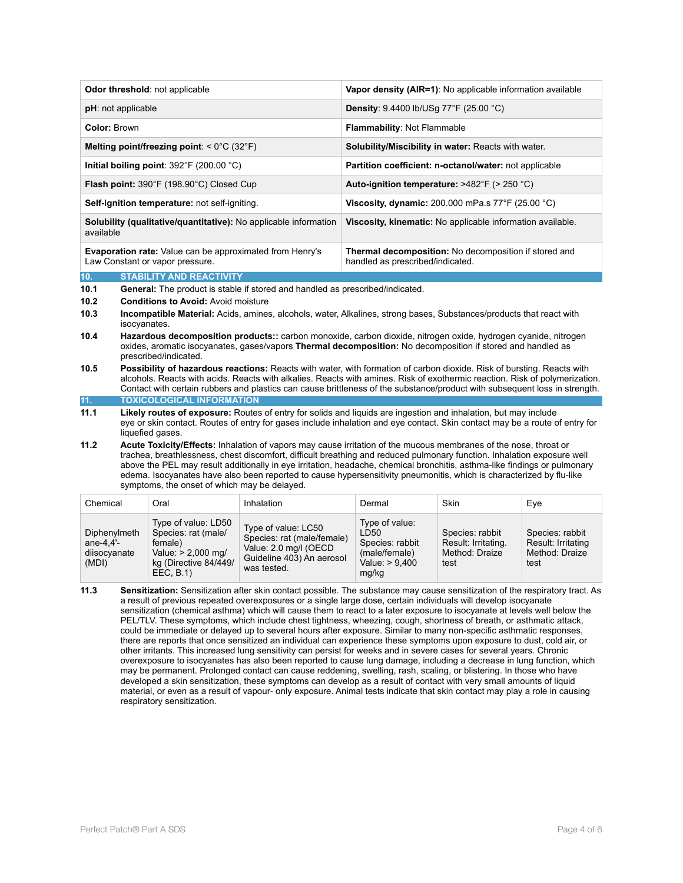| <b>Odor threshold: not applicable</b>                                                              | Vapor density (AIR=1): No applicable information available                                       |
|----------------------------------------------------------------------------------------------------|--------------------------------------------------------------------------------------------------|
| <b>pH</b> : not applicable                                                                         | <b>Density:</b> $9.4400$ lb/USq $77^{\circ}$ F (25.00 $^{\circ}$ C)                              |
| <b>Color: Brown</b>                                                                                | <b>Flammability: Not Flammable</b>                                                               |
| Melting point/freezing point: $< 0^{\circ}$ C (32 $^{\circ}$ F)                                    | Solubility/Miscibility in water: Reacts with water.                                              |
| Initial boiling point: $392^{\circ}F$ (200.00 $^{\circ}C$ )                                        | <b>Partition coefficient: n-octanol/water: not applicable</b>                                    |
| <b>Flash point:</b> $390^\circ$ F (198.90 $^\circ$ C) Closed Cup                                   | Auto-ignition temperature: $>482^{\circ}F$ ( $>250^{\circ}C$ )                                   |
| Self-ignition temperature: not self-igniting.                                                      | Viscosity, dynamic: 200.000 mPa.s $77^{\circ}$ F (25.00 $^{\circ}$ C)                            |
| <b>Solubility (qualitative/quantitative):</b> No applicable information<br>available               | Viscosity, kinematic: No applicable information available.                                       |
| <b>Evaporation rate:</b> Value can be approximated from Henry's<br>Law Constant or vapor pressure. | <b>Thermal decomposition:</b> No decomposition if stored and<br>handled as prescribed/indicated. |

## **10. STABILITY AND REACTIVITY**

**10.1 General:** The product is stable if stored and handled as prescribed/indicated.

- **10.2 Conditions to Avoid:** Avoid moisture
- **10.3 Incompatible Material:** Acids, amines, alcohols, water, Alkalines, strong bases, Substances/products that react with isocyanates.
- **10.4 Hazardous decomposition products::** carbon monoxide, carbon dioxide, nitrogen oxide, hydrogen cyanide, nitrogen oxides, aromatic isocyanates, gases/vapors **Thermal decomposition:** No decomposition if stored and handled as prescribed/indicated.
- **10.5 Possibility of hazardous reactions:** Reacts with water, with formation of carbon dioxide. Risk of bursting. Reacts with alcohols. Reacts with acids. Reacts with alkalies. Reacts with amines. Risk of exothermic reaction. Risk of polymerization. Contact with certain rubbers and plastics can cause brittleness of the substance/product with subsequent loss in strength.
- **11. TOXICOLOGICAL INFORMATION**
- **11.1 Likely routes of exposure:** Routes of entry for solids and liquids are ingestion and inhalation, but may include eye or skin contact. Routes of entry for gases include inhalation and eye contact. Skin contact may be a route of entry for liquefied gases.
- **11.2 Acute Toxicity/Effects:** Inhalation of vapors may cause irritation of the mucous membranes of the nose, throat or trachea, breathlessness, chest discomfort, difficult breathing and reduced pulmonary function. Inhalation exposure well above the PEL may result additionally in eye irritation, headache, chemical bronchitis, asthma-like findings or pulmonary edema. Isocyanates have also been reported to cause hypersensitivity pneumonitis, which is characterized by flu-like symptoms, the onset of which may be delayed.

| Chemical                                             | Oral                                                                                                             | Inhalation                                                                                                              | Dermal                                                                                  | Skin                                                             | Eve                                                             |
|------------------------------------------------------|------------------------------------------------------------------------------------------------------------------|-------------------------------------------------------------------------------------------------------------------------|-----------------------------------------------------------------------------------------|------------------------------------------------------------------|-----------------------------------------------------------------|
| Diphenylmeth<br>ane-4.4 $-$<br>diisocyanate<br>(MDI) | Type of value: LD50<br>Species: rat (male/<br>female)<br>Value: > 2,000 mg/<br>kg (Directive 84/449/<br>EEC, B.1 | Type of value: LC50<br>Species: rat (male/female)<br>Value: 2.0 mg/l (OECD)<br>Guideline 403) An aerosol<br>was tested. | Type of value:<br>LD50<br>Species: rabbit<br>(male/female)<br>Value: $> 9,400$<br>mg/kg | Species: rabbit<br>Result: Irritating.<br>Method: Draize<br>test | Species: rabbit<br>Result: Irritating<br>Method: Draize<br>test |

**11.3 Sensitization:** Sensitization after skin contact possible. The substance may cause sensitization of the respiratory tract. As a result of previous repeated overexposures or a single large dose, certain individuals will develop isocyanate sensitization (chemical asthma) which will cause them to react to a later exposure to isocyanate at levels well below the PEL/TLV. These symptoms, which include chest tightness, wheezing, cough, shortness of breath, or asthmatic attack, could be immediate or delayed up to several hours after exposure. Similar to many non-specific asthmatic responses, there are reports that once sensitized an individual can experience these symptoms upon exposure to dust, cold air, or other irritants. This increased lung sensitivity can persist for weeks and in severe cases for several years. Chronic overexposure to isocyanates has also been reported to cause lung damage, including a decrease in lung function, which may be permanent. Prolonged contact can cause reddening, swelling, rash, scaling, or blistering. In those who have developed a skin sensitization, these symptoms can develop as a result of contact with very small amounts of liquid material, or even as a result of vapour- only exposure. Animal tests indicate that skin contact may play a role in causing respiratory sensitization.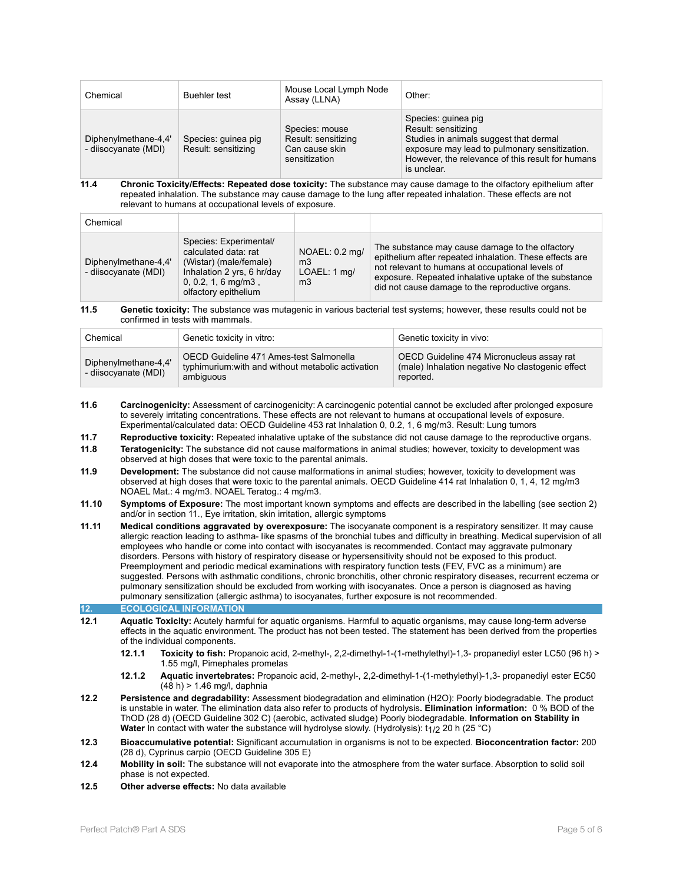| Chemical                                     | <b>Buehler</b> test                        | Mouse Local Lymph Node<br>Assay (LLNA)                                   | Other:                                                                                                                                                                                                   |
|----------------------------------------------|--------------------------------------------|--------------------------------------------------------------------------|----------------------------------------------------------------------------------------------------------------------------------------------------------------------------------------------------------|
| Diphenylmethane-4,4'<br>- diisocyanate (MDI) | Species: guinea pig<br>Result: sensitizing | Species: mouse<br>Result: sensitizing<br>Can cause skin<br>sensitization | Species: guinea pig<br>Result: sensitizing<br>Studies in animals suggest that dermal<br>exposure may lead to pulmonary sensitization.<br>However, the relevance of this result for humans<br>is unclear. |

**11.4 Chronic Toxicity/Effects: Repeated dose toxicity:** The substance may cause damage to the olfactory epithelium after repeated inhalation. The substance may cause damage to the lung after repeated inhalation. These effects are not relevant to humans at occupational levels of exposure.

| Chemical                                     |                                                                                                                                                         |                                                                    |                                                                                                                                                                                                                                                                             |
|----------------------------------------------|---------------------------------------------------------------------------------------------------------------------------------------------------------|--------------------------------------------------------------------|-----------------------------------------------------------------------------------------------------------------------------------------------------------------------------------------------------------------------------------------------------------------------------|
| Diphenylmethane-4,4'<br>- diisocyanate (MDI) | Species: Experimental/<br>calculated data: rat<br>(Wistar) (male/female)<br>Inhalation 2 yrs, 6 hr/day<br>$0, 0.2, 1, 6$ mg/m3,<br>olfactory epithelium | NOAEL: 0.2 mg/<br>m <sub>3</sub><br>LOAEL: 1 mg/<br>m <sub>3</sub> | The substance may cause damage to the olfactory<br>epithelium after repeated inhalation. These effects are<br>not relevant to humans at occupational levels of<br>exposure. Repeated inhalative uptake of the substance<br>did not cause damage to the reproductive organs. |

#### **11.5 Genetic toxicity:** The substance was mutagenic in various bacterial test systems; however, these results could not be confirmed in tests with mammals.

| Chemical                                     | Genetic toxicity in vitro:                                                                                 | Genetic toxicity in vivo:                                                                                  |
|----------------------------------------------|------------------------------------------------------------------------------------------------------------|------------------------------------------------------------------------------------------------------------|
| Diphenylmethane-4,4'<br>- diisocyanate (MDI) | OECD Guideline 471 Ames-test Salmonella<br>typhimurium: with and without metabolic activation<br>ambiguous | OECD Guideline 474 Micronucleus assay rat<br>(male) Inhalation negative No clastogenic effect<br>reported. |

- **11.6 Carcinogenicity:** Assessment of carcinogenicity: A carcinogenic potential cannot be excluded after prolonged exposure to severely irritating concentrations. These effects are not relevant to humans at occupational levels of exposure. Experimental/calculated data: OECD Guideline 453 rat Inhalation 0, 0.2, 1, 6 mg/m3. Result: Lung tumors
- **11.7 Reproductive toxicity:** Repeated inhalative uptake of the substance did not cause damage to the reproductive organs. **11.8 Teratogenicity:** The substance did not cause malformations in animal studies; however, toxicity to development was
- observed at high doses that were toxic to the parental animals.
- **11.9 Development:** The substance did not cause malformations in animal studies; however, toxicity to development was observed at high doses that were toxic to the parental animals. OECD Guideline 414 rat Inhalation 0, 1, 4, 12 mg/m3 NOAEL Mat.: 4 mg/m3. NOAEL Teratog.: 4 mg/m3.
- **11.10 Symptoms of Exposure:** The most important known symptoms and effects are described in the labelling (see section 2) and/or in section 11., Eye irritation, skin irritation, allergic symptoms
- **11.11 Medical conditions aggravated by overexposure:** The isocyanate component is a respiratory sensitizer. It may cause allergic reaction leading to asthma- like spasms of the bronchial tubes and difficulty in breathing. Medical supervision of all employees who handle or come into contact with isocyanates is recommended. Contact may aggravate pulmonary disorders. Persons with history of respiratory disease or hypersensitivity should not be exposed to this product. Preemployment and periodic medical examinations with respiratory function tests (FEV, FVC as a minimum) are suggested. Persons with asthmatic conditions, chronic bronchitis, other chronic respiratory diseases, recurrent eczema or pulmonary sensitization should be excluded from working with isocyanates. Once a person is diagnosed as having pulmonary sensitization (allergic asthma) to isocyanates, further exposure is not recommended.

**12. ECOLOGICAL INFORMATION** 

- **12.1 Aquatic Toxicity:** Acutely harmful for aquatic organisms. Harmful to aquatic organisms, may cause long-term adverse effects in the aquatic environment. The product has not been tested. The statement has been derived from the properties of the individual components.
	- **12.1.1 Toxicity to fish:** Propanoic acid, 2-methyl-, 2,2-dimethyl-1-(1-methylethyl)-1,3- propanediyl ester LC50 (96 h) > 1.55 mg/l, Pimephales promelas
	- **12.1.2 Aquatic invertebrates:** Propanoic acid, 2-methyl-, 2,2-dimethyl-1-(1-methylethyl)-1,3- propanediyl ester EC50 (48 h) > 1.46 mg/l, daphnia
- **12.2 Persistence and degradability:** Assessment biodegradation and elimination (H2O): Poorly biodegradable. The product is unstable in water. The elimination data also refer to products of hydrolysis**. Elimination information:** 0 % BOD of the ThOD (28 d) (OECD Guideline 302 C) (aerobic, activated sludge) Poorly biodegradable. **Information on Stability in Water** In contact with water the substance will hydrolyse slowly. (Hydrolysis): t<sub>1/2</sub> 20 h (25 °C)
- **12.3 Bioaccumulative potential:** Significant accumulation in organisms is not to be expected. **Bioconcentration factor:** 200 (28 d), Cyprinus carpio (OECD Guideline 305 E)
- **12.4 Mobility in soil:** The substance will not evaporate into the atmosphere from the water surface. Absorption to solid soil phase is not expected.
- **12.5 Other adverse effects:** No data available